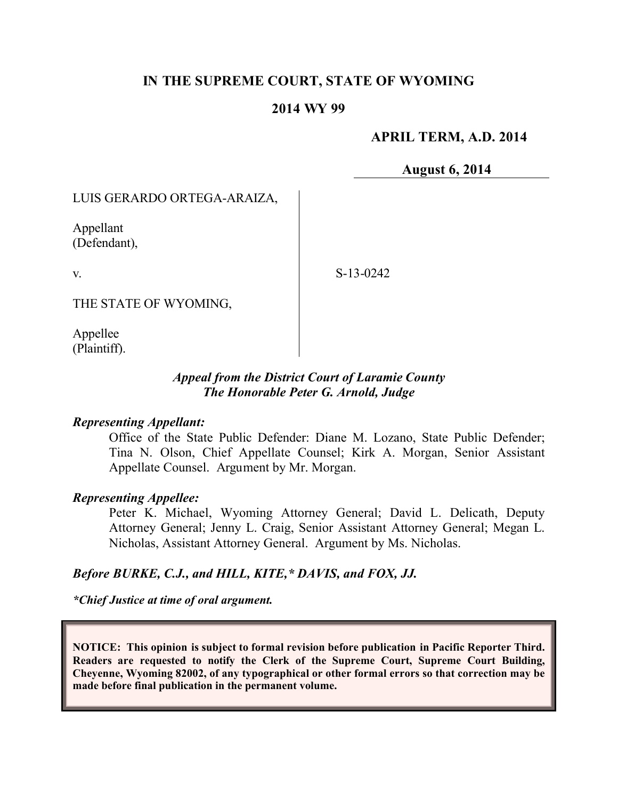# **IN THE SUPREME COURT, STATE OF WYOMING**

## **2014 WY 99**

## **APRIL TERM, A.D. 2014**

**August 6, 2014**

LUIS GERARDO ORTEGA-ARAIZA,

Appellant (Defendant),

v.

S-13-0242

THE STATE OF WYOMING,

Appellee (Plaintiff).

## *Appeal from the District Court of Laramie County The Honorable Peter G. Arnold, Judge*

### *Representing Appellant:*

Office of the State Public Defender: Diane M. Lozano, State Public Defender; Tina N. Olson, Chief Appellate Counsel; Kirk A. Morgan, Senior Assistant Appellate Counsel. Argument by Mr. Morgan.

### *Representing Appellee:*

Peter K. Michael, Wyoming Attorney General; David L. Delicath, Deputy Attorney General; Jenny L. Craig, Senior Assistant Attorney General; Megan L. Nicholas, Assistant Attorney General. Argument by Ms. Nicholas.

### *Before BURKE, C.J., and HILL, KITE,\* DAVIS, and FOX, JJ.*

*\*Chief Justice at time of oral argument.*

**NOTICE: This opinion is subject to formal revision before publication in Pacific Reporter Third. Readers are requested to notify the Clerk of the Supreme Court, Supreme Court Building, Cheyenne, Wyoming 82002, of any typographical or other formal errors so that correction may be made before final publication in the permanent volume.**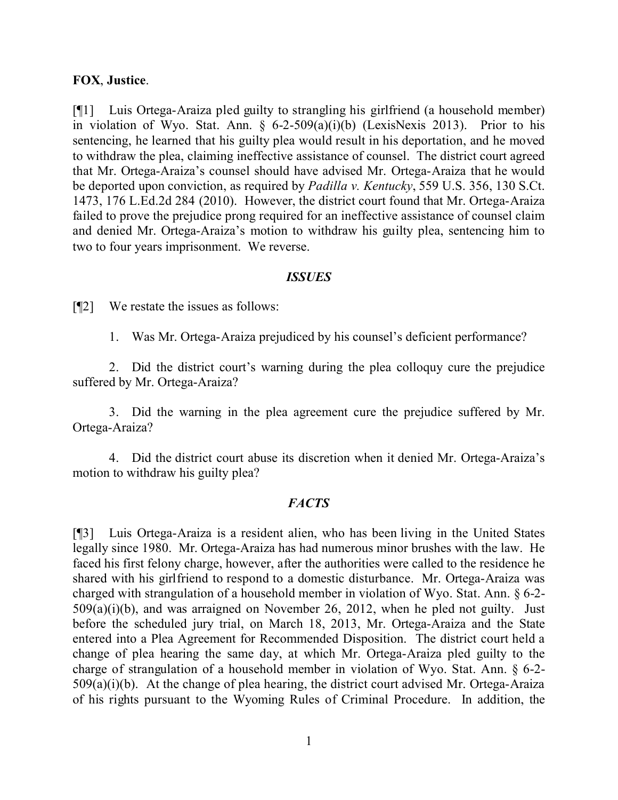### **FOX**, **Justice**.

[¶1] Luis Ortega-Araiza pled guilty to strangling his girlfriend (a household member) in violation of Wyo. Stat. Ann.  $\S$  6-2-509(a)(i)(b) (LexisNexis 2013). Prior to his sentencing, he learned that his guilty plea would result in his deportation, and he moved to withdraw the plea, claiming ineffective assistance of counsel. The district court agreed that Mr. Ortega-Araiza's counsel should have advised Mr. Ortega-Araiza that he would be deported upon conviction, as required by *Padilla v. Kentucky*, 559 U.S. 356, 130 S.Ct. 1473, 176 L.Ed.2d 284 (2010). However, the district court found that Mr. Ortega-Araiza failed to prove the prejudice prong required for an ineffective assistance of counsel claim and denied Mr. Ortega-Araiza's motion to withdraw his guilty plea, sentencing him to two to four years imprisonment. We reverse.

#### *ISSUES*

[¶2] We restate the issues as follows:

1. Was Mr. Ortega-Araiza prejudiced by his counsel's deficient performance?

2. Did the district court's warning during the plea colloquy cure the prejudice suffered by Mr. Ortega-Araiza?

3. Did the warning in the plea agreement cure the prejudice suffered by Mr. Ortega-Araiza?

4. Did the district court abuse its discretion when it denied Mr. Ortega-Araiza's motion to withdraw his guilty plea?

#### *FACTS*

[¶3] Luis Ortega-Araiza is a resident alien, who has been living in the United States legally since 1980. Mr. Ortega-Araiza has had numerous minor brushes with the law. He faced his first felony charge, however, after the authorities were called to the residence he shared with his girlfriend to respond to a domestic disturbance. Mr. Ortega-Araiza was charged with strangulation of a household member in violation of Wyo. Stat. Ann. § 6-2-  $509(a)(i)(b)$ , and was arraigned on November 26, 2012, when he pled not guilty. Just before the scheduled jury trial, on March 18, 2013, Mr. Ortega-Araiza and the State entered into a Plea Agreement for Recommended Disposition. The district court held a change of plea hearing the same day, at which Mr. Ortega-Araiza pled guilty to the charge of strangulation of a household member in violation of Wyo. Stat. Ann. § 6-2- 509(a)(i)(b). At the change of plea hearing, the district court advised Mr. Ortega-Araiza of his rights pursuant to the Wyoming Rules of Criminal Procedure. In addition, the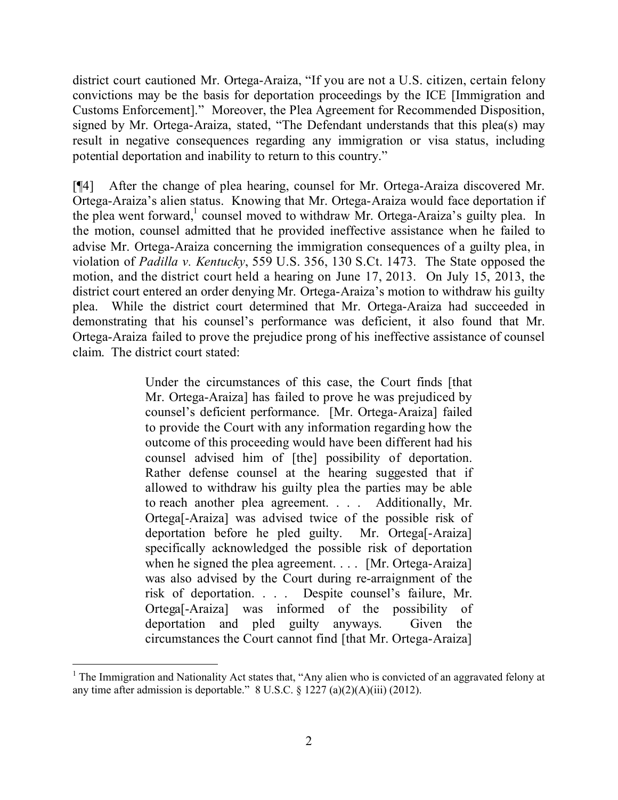district court cautioned Mr. Ortega-Araiza, "If you are not a U.S. citizen, certain felony convictions may be the basis for deportation proceedings by the ICE [Immigration and Customs Enforcement]." Moreover, the Plea Agreement for Recommended Disposition, signed by Mr. Ortega-Araiza, stated, "The Defendant understands that this plea(s) may result in negative consequences regarding any immigration or visa status, including potential deportation and inability to return to this country."

[¶4] After the change of plea hearing, counsel for Mr. Ortega-Araiza discovered Mr. Ortega-Araiza's alien status. Knowing that Mr. Ortega-Araiza would face deportation if the plea went forward, 1 counsel moved to withdraw Mr. Ortega-Araiza's guilty plea. In the motion, counsel admitted that he provided ineffective assistance when he failed to advise Mr. Ortega-Araiza concerning the immigration consequences of a guilty plea, in violation of *Padilla v. Kentucky*, 559 U.S. 356, 130 S.Ct. 1473. The State opposed the motion, and the district court held a hearing on June 17, 2013. On July 15, 2013, the district court entered an order denying Mr. Ortega-Araiza's motion to withdraw his guilty plea. While the district court determined that Mr. Ortega-Araiza had succeeded in demonstrating that his counsel's performance was deficient, it also found that Mr. Ortega-Araiza failed to prove the prejudice prong of his ineffective assistance of counsel claim. The district court stated:

> Under the circumstances of this case, the Court finds [that Mr. Ortega-Araiza] has failed to prove he was prejudiced by counsel's deficient performance. [Mr. Ortega-Araiza] failed to provide the Court with any information regarding how the outcome of this proceeding would have been different had his counsel advised him of [the] possibility of deportation. Rather defense counsel at the hearing suggested that if allowed to withdraw his guilty plea the parties may be able to reach another plea agreement. . . . Additionally, Mr. Ortega[-Araiza] was advised twice of the possible risk of deportation before he pled guilty. Mr. Ortega[-Araiza] specifically acknowledged the possible risk of deportation when he signed the plea agreement. . . . [Mr. Ortega-Araiza] was also advised by the Court during re-arraignment of the risk of deportation. . . . Despite counsel's failure, Mr. Ortega[-Araiza] was informed of the possibility of deportation and pled guilty anyways. Given the circumstances the Court cannot find [that Mr. Ortega-Araiza]

<sup>&</sup>lt;sup>1</sup> The Immigration and Nationality Act states that, "Any alien who is convicted of an aggravated felony at any time after admission is deportable."  $8 \text{ U.S.C.} \& 1227 \text{ (a)}(2)(\text{A})(\text{iii}) \text{ (2012)}.$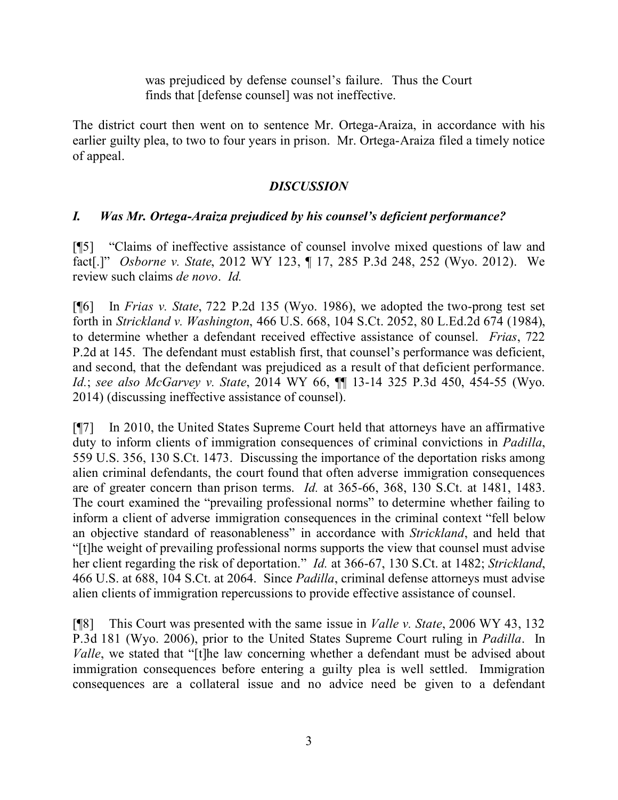was prejudiced by defense counsel's failure. Thus the Court finds that [defense counsel] was not ineffective.

The district court then went on to sentence Mr. Ortega-Araiza, in accordance with his earlier guilty plea, to two to four years in prison. Mr. Ortega-Araiza filed a timely notice of appeal.

# *DISCUSSION*

# *I. Was Mr. Ortega-Araiza prejudiced by his counsel's deficient performance?*

[¶5] "Claims of ineffective assistance of counsel involve mixed questions of law and fact[.]" *Osborne v. State*, 2012 WY 123, ¶ 17, 285 P.3d 248, 252 (Wyo. 2012). We review such claims *de novo*. *Id.*

[¶6] In *Frias v. State*, 722 P.2d 135 (Wyo. 1986), we adopted the two-prong test set forth in *Strickland v. Washington*, 466 U.S. 668, 104 S.Ct. 2052, 80 L.Ed.2d 674 (1984), to determine whether a defendant received effective assistance of counsel. *Frias*, 722 P.2d at 145. The defendant must establish first, that counsel's performance was deficient, and second, that the defendant was prejudiced as a result of that deficient performance. *Id.*; *see also McGarvey v. State*, 2014 WY 66, ¶¶ 13-14 325 P.3d 450, 454-55 (Wyo. 2014) (discussing ineffective assistance of counsel).

[¶7] In 2010, the United States Supreme Court held that attorneys have an affirmative duty to inform clients of immigration consequences of criminal convictions in *Padilla*, 559 U.S. 356, 130 S.Ct. 1473. Discussing the importance of the deportation risks among alien criminal defendants, the court found that often adverse immigration consequences are of greater concern than prison terms. *Id.* at 365-66, 368, 130 S.Ct. at 1481, 1483. The court examined the "prevailing professional norms" to determine whether failing to inform a client of adverse immigration consequences in the criminal context "fell below an objective standard of reasonableness" in accordance with *Strickland*, and held that "[t]he weight of prevailing professional norms supports the view that counsel must advise her client regarding the risk of deportation." *Id.* at 366-67, 130 S.Ct. at 1482; *Strickland*, 466 U.S. at 688, 104 S.Ct. at 2064. Since *Padilla*, criminal defense attorneys must advise alien clients of immigration repercussions to provide effective assistance of counsel.

[¶8] This Court was presented with the same issue in *Valle v. State*, 2006 WY 43, 132 P.3d 181 (Wyo. 2006), prior to the United States Supreme Court ruling in *Padilla*. In *Valle*, we stated that "[t]he law concerning whether a defendant must be advised about immigration consequences before entering a guilty plea is well settled. Immigration consequences are a collateral issue and no advice need be given to a defendant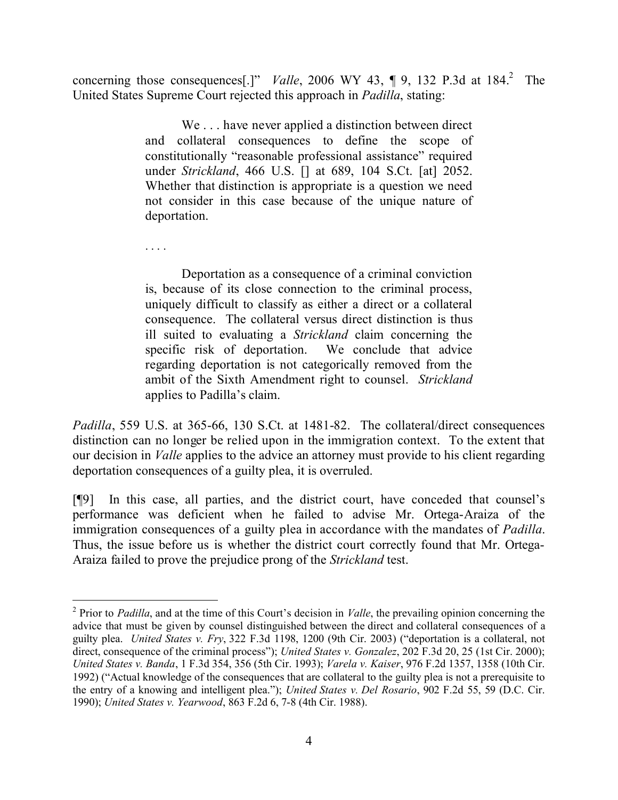concerning those consequences<sup>[1]</sup>" *Valle*, 2006 WY 43,  $\parallel$  9, 132 P.3d at 184.<sup>2</sup> The United States Supreme Court rejected this approach in *Padilla*, stating:

> We . . . have never applied a distinction between direct and collateral consequences to define the scope of constitutionally "reasonable professional assistance" required under *Strickland*, 466 U.S. [] at 689, 104 S.Ct. [at] 2052. Whether that distinction is appropriate is a question we need not consider in this case because of the unique nature of deportation.

. . . .

Deportation as a consequence of a criminal conviction is, because of its close connection to the criminal process, uniquely difficult to classify as either a direct or a collateral consequence. The collateral versus direct distinction is thus ill suited to evaluating a *Strickland* claim concerning the specific risk of deportation. We conclude that advice regarding deportation is not categorically removed from the ambit of the Sixth Amendment right to counsel. *Strickland* applies to Padilla's claim.

*Padilla*, 559 U.S. at 365-66, 130 S.Ct. at 1481-82. The collateral/direct consequences distinction can no longer be relied upon in the immigration context. To the extent that our decision in *Valle* applies to the advice an attorney must provide to his client regarding deportation consequences of a guilty plea, it is overruled.

[¶9] In this case, all parties, and the district court, have conceded that counsel's performance was deficient when he failed to advise Mr. Ortega-Araiza of the immigration consequences of a guilty plea in accordance with the mandates of *Padilla*. Thus, the issue before us is whether the district court correctly found that Mr. Ortega-Araiza failed to prove the prejudice prong of the *Strickland* test.

<sup>&</sup>lt;sup>2</sup> Prior to *Padilla*, and at the time of this Court's decision in *Valle*, the prevailing opinion concerning the advice that must be given by counsel distinguished between the direct and collateral consequences of a guilty plea. *United States v. Fry*, 322 F.3d 1198, 1200 (9th Cir. 2003) ("deportation is a collateral, not direct, consequence of the criminal process"); *United States v. Gonzalez*, 202 F.3d 20, 25 (1st Cir. 2000); *United States v. Banda*, 1 F.3d 354, 356 (5th Cir. 1993); *Varela v. Kaiser*, 976 F.2d 1357, 1358 (10th Cir. 1992) ("Actual knowledge of the consequences that are collateral to the guilty plea is not a prerequisite to the entry of a knowing and intelligent plea."); *United States v. Del Rosario*, 902 F.2d 55, 59 (D.C. Cir. 1990); *United States v. Yearwood*, 863 F.2d 6, 7-8 (4th Cir. 1988).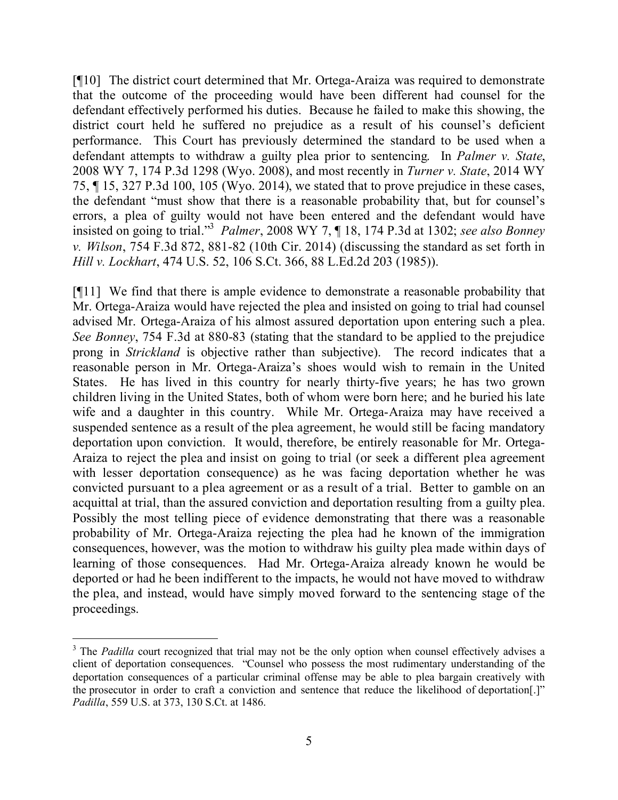[¶10] The district court determined that Mr. Ortega-Araiza was required to demonstrate that the outcome of the proceeding would have been different had counsel for the defendant effectively performed his duties. Because he failed to make this showing, the district court held he suffered no prejudice as a result of his counsel's deficient performance. This Court has previously determined the standard to be used when a defendant attempts to withdraw a guilty plea prior to sentencing. In *Palmer v. State*, 2008 WY 7, 174 P.3d 1298 (Wyo. 2008), and most recently in *Turner v. State*, 2014 WY 75, ¶ 15, 327 P.3d 100, 105 (Wyo. 2014), we stated that to prove prejudice in these cases, the defendant "must show that there is a reasonable probability that, but for counsel's errors, a plea of guilty would not have been entered and the defendant would have insisted on going to trial."<sup>3</sup> *Palmer*, 2008 WY 7, ¶ 18, 174 P.3d at 1302; *see also Bonney v. Wilson*, 754 F.3d 872, 881-82 (10th Cir. 2014) (discussing the standard as set forth in *Hill v. Lockhart*, 474 U.S. 52, 106 S.Ct. 366, 88 L.Ed.2d 203 (1985)).

[¶11] We find that there is ample evidence to demonstrate a reasonable probability that Mr. Ortega-Araiza would have rejected the plea and insisted on going to trial had counsel advised Mr. Ortega-Araiza of his almost assured deportation upon entering such a plea. *See Bonney*, 754 F.3d at 880-83 (stating that the standard to be applied to the prejudice prong in *Strickland* is objective rather than subjective). The record indicates that a reasonable person in Mr. Ortega-Araiza's shoes would wish to remain in the United States. He has lived in this country for nearly thirty-five years; he has two grown children living in the United States, both of whom were born here; and he buried his late wife and a daughter in this country. While Mr. Ortega-Araiza may have received a suspended sentence as a result of the plea agreement, he would still be facing mandatory deportation upon conviction. It would, therefore, be entirely reasonable for Mr. Ortega-Araiza to reject the plea and insist on going to trial (or seek a different plea agreement with lesser deportation consequence) as he was facing deportation whether he was convicted pursuant to a plea agreement or as a result of a trial. Better to gamble on an acquittal at trial, than the assured conviction and deportation resulting from a guilty plea. Possibly the most telling piece of evidence demonstrating that there was a reasonable probability of Mr. Ortega-Araiza rejecting the plea had he known of the immigration consequences, however, was the motion to withdraw his guilty plea made within days of learning of those consequences. Had Mr. Ortega-Araiza already known he would be deported or had he been indifferent to the impacts, he would not have moved to withdraw the plea, and instead, would have simply moved forward to the sentencing stage of the proceedings.

<sup>&</sup>lt;sup>3</sup> The *Padilla* court recognized that trial may not be the only option when counsel effectively advises a client of deportation consequences. "Counsel who possess the most rudimentary understanding of the deportation consequences of a particular criminal offense may be able to plea bargain creatively with the prosecutor in order to craft a conviction and sentence that reduce the likelihood of deportation[.]" *Padilla*, 559 U.S. at 373, 130 S.Ct. at 1486.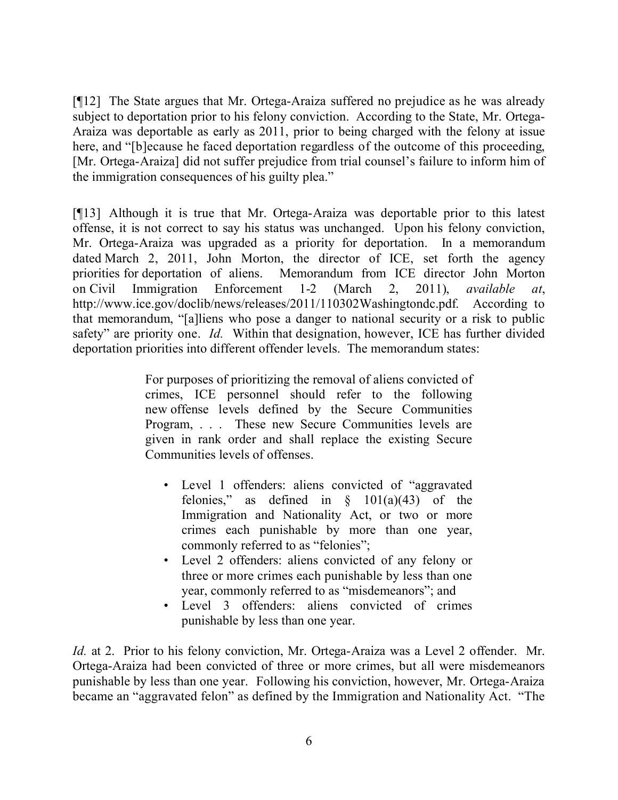[¶12] The State argues that Mr. Ortega-Araiza suffered no prejudice as he was already subject to deportation prior to his felony conviction. According to the State, Mr. Ortega-Araiza was deportable as early as 2011, prior to being charged with the felony at issue here, and "[b]ecause he faced deportation regardless of the outcome of this proceeding, [Mr. Ortega-Araiza] did not suffer prejudice from trial counsel's failure to inform him of the immigration consequences of his guilty plea."

[¶13] Although it is true that Mr. Ortega-Araiza was deportable prior to this latest offense, it is not correct to say his status was unchanged. Upon his felony conviction, Mr. Ortega-Araiza was upgraded as a priority for deportation. In a memorandum dated March 2, 2011, John Morton, the director of ICE, set forth the agency priorities for deportation of aliens. Memorandum from ICE director John Morton on Civil Immigration Enforcement 1-2 (March 2, 2011), *available at*, http://www.ice.gov/doclib/news/releases/2011/110302Washingtondc.pdf. According to that memorandum, "[a]liens who pose a danger to national security or a risk to public safety" are priority one. *Id.* Within that designation, however, ICE has further divided deportation priorities into different offender levels. The memorandum states:

> For purposes of prioritizing the removal of aliens convicted of crimes, ICE personnel should refer to the following new offense levels defined by the Secure Communities Program, . . . These new Secure Communities levels are given in rank order and shall replace the existing Secure Communities levels of offenses.

- Level 1 offenders: aliens convicted of "aggravated felonies," as defined in  $\S$  101(a)(43) of the Immigration and Nationality Act, or two or more crimes each punishable by more than one year, commonly referred to as "felonies";
- Level 2 offenders: aliens convicted of any felony or three or more crimes each punishable by less than one year, commonly referred to as "misdemeanors"; and
- Level 3 offenders: aliens convicted of crimes punishable by less than one year.

*Id.* at 2. Prior to his felony conviction, Mr. Ortega-Araiza was a Level 2 offender. Mr. Ortega-Araiza had been convicted of three or more crimes, but all were misdemeanors punishable by less than one year. Following his conviction, however, Mr. Ortega-Araiza became an "aggravated felon" as defined by the Immigration and Nationality Act. "The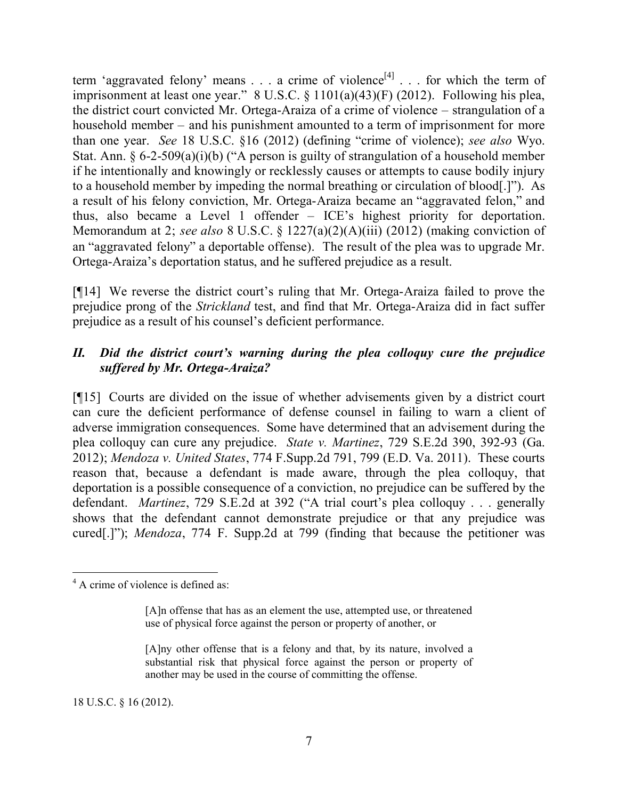term 'aggravated felony' means . . . a crime of violence<sup>[4]</sup> . . . for which the term of imprisonment at least one year." 8 U.S.C. § 1101(a)(43)(F) (2012). Following his plea, the district court convicted Mr. Ortega-Araiza of a crime of violence – strangulation of a household member – and his punishment amounted to a term of imprisonment for more than one year. *See* 18 U.S.C. §16 (2012) (defining "crime of violence); *see also* Wyo. Stat. Ann.  $\S 6-2-509(a)(i)(b)$  ("A person is guilty of strangulation of a household member if he intentionally and knowingly or recklessly causes or attempts to cause bodily injury to a household member by impeding the normal breathing or circulation of blood[.]"). As a result of his felony conviction, Mr. Ortega-Araiza became an "aggravated felon," and thus, also became a Level 1 offender – ICE's highest priority for deportation. Memorandum at 2; *see also* 8 U.S.C. § 1227(a)(2)(A)(iii) (2012) (making conviction of an "aggravated felony" a deportable offense). The result of the plea was to upgrade Mr. Ortega-Araiza's deportation status, and he suffered prejudice as a result.

[¶14] We reverse the district court's ruling that Mr. Ortega-Araiza failed to prove the prejudice prong of the *Strickland* test, and find that Mr. Ortega-Araiza did in fact suffer prejudice as a result of his counsel's deficient performance.

# *II. Did the district court's warning during the plea colloquy cure the prejudice suffered by Mr. Ortega-Araiza?*

[¶15] Courts are divided on the issue of whether advisements given by a district court can cure the deficient performance of defense counsel in failing to warn a client of adverse immigration consequences. Some have determined that an advisement during the plea colloquy can cure any prejudice. *State v. Martinez*, 729 S.E.2d 390, 392-93 (Ga. 2012); *Mendoza v. United States*, 774 F.Supp.2d 791, 799 (E.D. Va. 2011). These courts reason that, because a defendant is made aware, through the plea colloquy, that deportation is a possible consequence of a conviction, no prejudice can be suffered by the defendant. *Martinez*, 729 S.E.2d at 392 ("A trial court's plea colloquy . . . generally shows that the defendant cannot demonstrate prejudice or that any prejudice was cured[.]"); *Mendoza*, 774 F. Supp.2d at 799 (finding that because the petitioner was

18 U.S.C. § 16 (2012).

 <sup>4</sup> A crime of violence is defined as:

<sup>[</sup>A]n offense that has as an element the use, attempted use, or threatened use of physical force against the person or property of another, or

<sup>[</sup>A]ny other offense that is a felony and that, by its nature, involved a substantial risk that physical force against the person or property of another may be used in the course of committing the offense.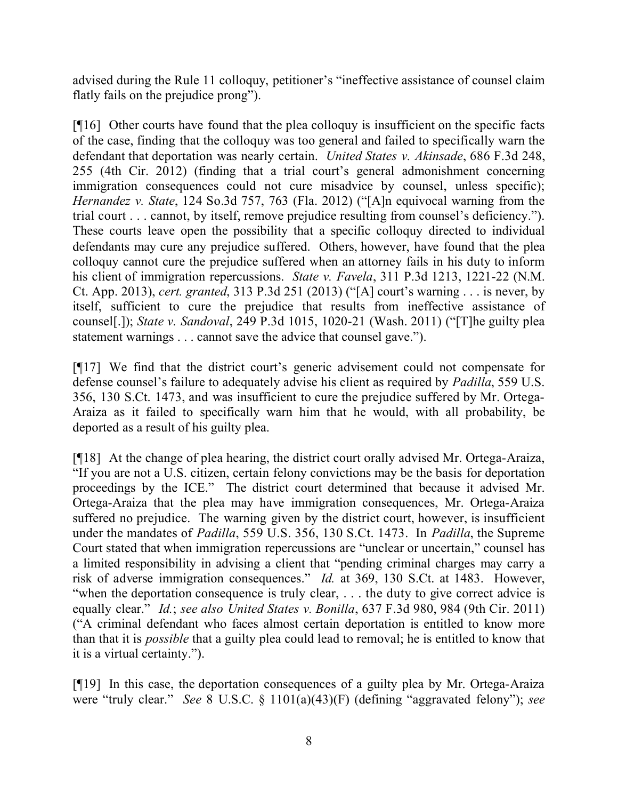advised during the Rule 11 colloquy, petitioner's "ineffective assistance of counsel claim flatly fails on the prejudice prong").

[¶16] Other courts have found that the plea colloquy is insufficient on the specific facts of the case, finding that the colloquy was too general and failed to specifically warn the defendant that deportation was nearly certain. *United States v. Akinsade*, 686 F.3d 248, 255 (4th Cir. 2012) (finding that a trial court's general admonishment concerning immigration consequences could not cure misadvice by counsel, unless specific); *Hernandez v. State*, 124 So.3d 757, 763 (Fla. 2012) ("[A]n equivocal warning from the trial court . . . cannot, by itself, remove prejudice resulting from counsel's deficiency."). These courts leave open the possibility that a specific colloquy directed to individual defendants may cure any prejudice suffered. Others, however, have found that the plea colloquy cannot cure the prejudice suffered when an attorney fails in his duty to inform his client of immigration repercussions. *State v. Favela*, 311 P.3d 1213, 1221-22 (N.M. Ct. App. 2013), *cert. granted*, 313 P.3d 251 (2013) ("[A] court's warning . . . is never, by itself, sufficient to cure the prejudice that results from ineffective assistance of counsel[.]); *State v. Sandoval*, 249 P.3d 1015, 1020-21 (Wash. 2011) ("[T]he guilty plea statement warnings . . . cannot save the advice that counsel gave.").

[¶17] We find that the district court's generic advisement could not compensate for defense counsel's failure to adequately advise his client as required by *Padilla*, 559 U.S. 356, 130 S.Ct. 1473, and was insufficient to cure the prejudice suffered by Mr. Ortega-Araiza as it failed to specifically warn him that he would, with all probability, be deported as a result of his guilty plea.

[¶18] At the change of plea hearing, the district court orally advised Mr. Ortega-Araiza, "If you are not a U.S. citizen, certain felony convictions may be the basis for deportation proceedings by the ICE." The district court determined that because it advised Mr. Ortega-Araiza that the plea may have immigration consequences, Mr. Ortega-Araiza suffered no prejudice. The warning given by the district court, however, is insufficient under the mandates of *Padilla*, 559 U.S. 356, 130 S.Ct. 1473. In *Padilla*, the Supreme Court stated that when immigration repercussions are "unclear or uncertain," counsel has a limited responsibility in advising a client that "pending criminal charges may carry a risk of adverse immigration consequences." *Id.* at 369, 130 S.Ct. at 1483. However, "when the deportation consequence is truly clear, . . . the duty to give correct advice is equally clear." *Id.*; *see also United States v. Bonilla*, 637 F.3d 980, 984 (9th Cir. 2011) ("A criminal defendant who faces almost certain deportation is entitled to know more than that it is *possible* that a guilty plea could lead to removal; he is entitled to know that it is a virtual certainty.").

[¶19] In this case, the deportation consequences of a guilty plea by Mr. Ortega-Araiza were "truly clear." *See* 8 U.S.C. § 1101(a)(43)(F) (defining "aggravated felony"); *see*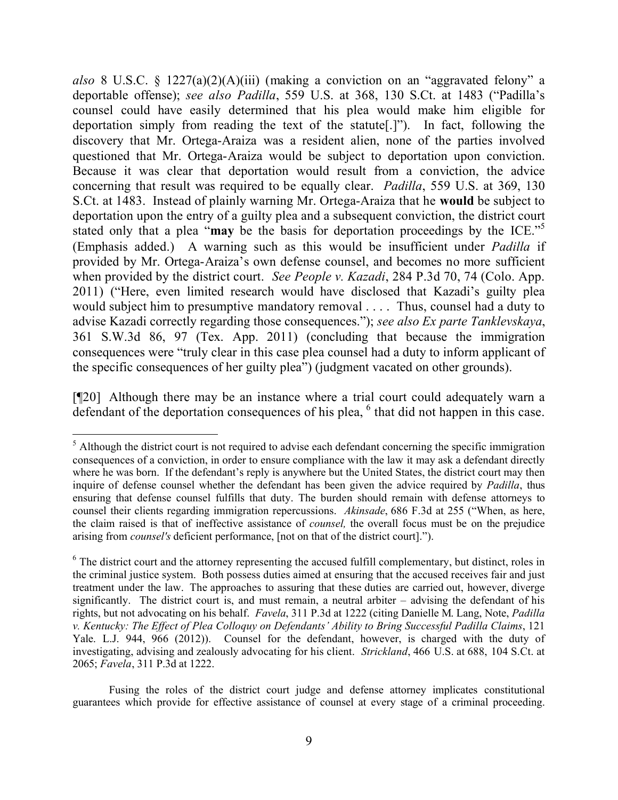*also* 8 U.S.C. § 1227(a)(2)(A)(iii) (making a conviction on an "aggravated felony" a deportable offense); *see also Padilla*, 559 U.S. at 368, 130 S.Ct. at 1483 ("Padilla's counsel could have easily determined that his plea would make him eligible for deportation simply from reading the text of the statute[.]"). In fact, following the discovery that Mr. Ortega-Araiza was a resident alien, none of the parties involved questioned that Mr. Ortega-Araiza would be subject to deportation upon conviction. Because it was clear that deportation would result from a conviction, the advice concerning that result was required to be equally clear. *Padilla*, 559 U.S. at 369, 130 S.Ct. at 1483. Instead of plainly warning Mr. Ortega-Araiza that he **would** be subject to deportation upon the entry of a guilty plea and a subsequent conviction, the district court stated only that a plea "**may** be the basis for deportation proceedings by the ICE."<sup>5</sup> (Emphasis added.) A warning such as this would be insufficient under *Padilla* if provided by Mr. Ortega-Araiza's own defense counsel, and becomes no more sufficient when provided by the district court. *See People v. Kazadi*, 284 P.3d 70, 74 (Colo. App. 2011) ("Here, even limited research would have disclosed that Kazadi's guilty plea would subject him to presumptive mandatory removal . . . . Thus, counsel had a duty to advise Kazadi correctly regarding those consequences."); *see also Ex parte Tanklevskaya*, 361 S.W.3d 86, 97 (Tex. App. 2011) (concluding that because the immigration consequences were "truly clear in this case plea counsel had a duty to inform applicant of the specific consequences of her guilty plea") (judgment vacated on other grounds).

[¶20] Although there may be an instance where a trial court could adequately warn a  $\det$  defendant of the deportation consequences of his plea,  $\delta$  that did not happen in this case.

Fusing the roles of the district court judge and defense attorney implicates constitutional guarantees which provide for effective assistance of counsel at every stage of a criminal proceeding.

 $<sup>5</sup>$  Although the district court is not required to advise each defendant concerning the specific immigration</sup> consequences of a conviction, in order to ensure compliance with the law it may ask a defendant directly where he was born. If the defendant's reply is anywhere but the United States, the district court may then inquire of defense counsel whether the defendant has been given the advice required by *Padilla*, thus ensuring that defense counsel fulfills that duty. The burden should remain with defense attorneys to counsel their clients regarding immigration repercussions. *Akinsade*, 686 F.3d at 255 ("When, as here, the claim raised is that of ineffective assistance of *counsel,* the overall focus must be on the prejudice arising from *counsel's* deficient performance, [not on that of the district court].").

<sup>&</sup>lt;sup>6</sup> The district court and the attorney representing the accused fulfill complementary, but distinct, roles in the criminal justice system. Both possess duties aimed at ensuring that the accused receives fair and just treatment under the law. The approaches to assuring that these duties are carried out, however, diverge significantly. The district court is, and must remain, a neutral arbiter – advising the defendant of his rights, but not advocating on his behalf. *Favela*, 311 P.3d at 1222 (citing Danielle M. Lang, Note, *Padilla v. Kentucky: The Effect of Plea Colloquy on Defendants' Ability to Bring Successful Padilla Claims*, 121 Yale. L.J. 944, 966 (2012)). Counsel for the defendant, however, is charged with the duty of investigating, advising and zealously advocating for his client. *Strickland*, 466 U.S. at 688, 104 S.Ct. at 2065; *Favela*, 311 P.3d at 1222.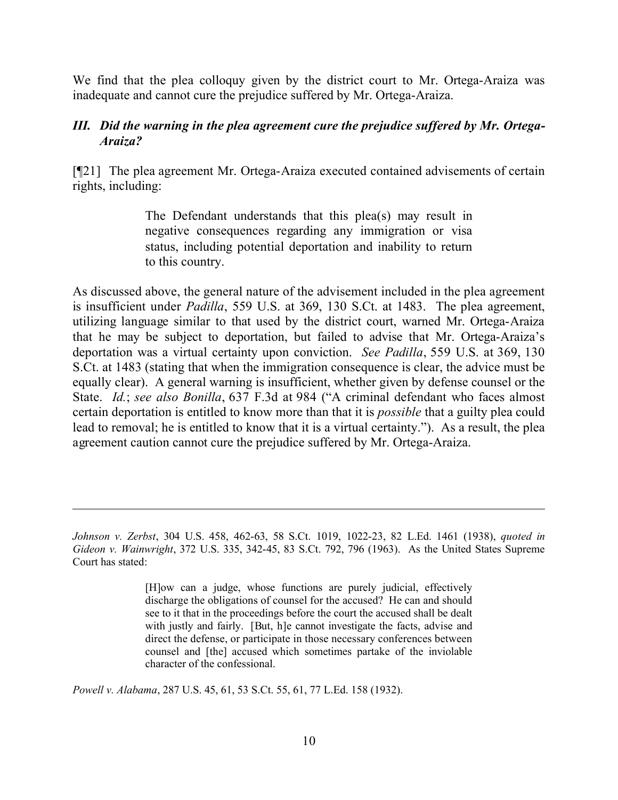We find that the plea colloquy given by the district court to Mr. Ortega-Araiza was inadequate and cannot cure the prejudice suffered by Mr. Ortega-Araiza.

## *III. Did the warning in the plea agreement cure the prejudice suffered by Mr. Ortega-Araiza?*

[¶21] The plea agreement Mr. Ortega-Araiza executed contained advisements of certain rights, including:

> The Defendant understands that this plea(s) may result in negative consequences regarding any immigration or visa status, including potential deportation and inability to return to this country.

As discussed above, the general nature of the advisement included in the plea agreement is insufficient under *Padilla*, 559 U.S. at 369, 130 S.Ct. at 1483. The plea agreement, utilizing language similar to that used by the district court, warned Mr. Ortega-Araiza that he may be subject to deportation, but failed to advise that Mr. Ortega-Araiza's deportation was a virtual certainty upon conviction. *See Padilla*, 559 U.S. at 369, 130 S.Ct. at 1483 (stating that when the immigration consequence is clear, the advice must be equally clear). A general warning is insufficient, whether given by defense counsel or the State. *Id.*; *see also Bonilla*, 637 F.3d at 984 ("A criminal defendant who faces almost certain deportation is entitled to know more than that it is *possible* that a guilty plea could lead to removal; he is entitled to know that it is a virtual certainty."). As a result, the plea agreement caution cannot cure the prejudice suffered by Mr. Ortega-Araiza.

*Powell v. Alabama*, 287 U.S. 45, 61, 53 S.Ct. 55, 61, 77 L.Ed. 158 (1932).

*Johnson v. Zerbst*, 304 U.S. 458, 462-63, 58 S.Ct. 1019, 1022-23, 82 L.Ed. 1461 (1938), *quoted in Gideon v. Wainwright*, 372 U.S. 335, 342-45, 83 S.Ct. 792, 796 (1963). As the United States Supreme Court has stated:

<sup>[</sup>H]ow can a judge, whose functions are purely judicial, effectively discharge the obligations of counsel for the accused? He can and should see to it that in the proceedings before the court the accused shall be dealt with justly and fairly. [But, h]e cannot investigate the facts, advise and direct the defense, or participate in those necessary conferences between counsel and [the] accused which sometimes partake of the inviolable character of the confessional.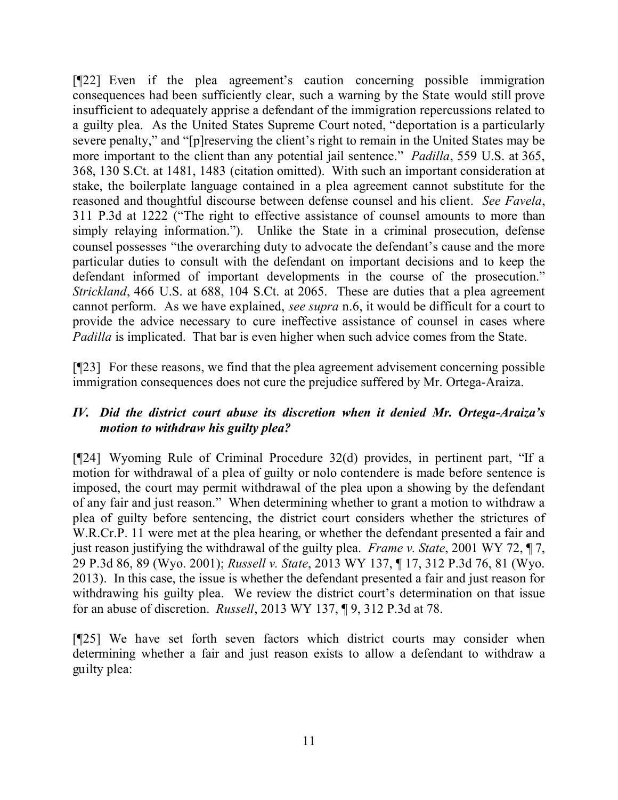[¶22] Even if the plea agreement's caution concerning possible immigration consequences had been sufficiently clear, such a warning by the State would still prove insufficient to adequately apprise a defendant of the immigration repercussions related to a guilty plea. As the United States Supreme Court noted, "deportation is a particularly severe penalty," and "[p]reserving the client's right to remain in the United States may be more important to the client than any potential jail sentence." *Padilla*, 559 U.S. at 365, 368, 130 S.Ct. at 1481, 1483 (citation omitted). With such an important consideration at stake, the boilerplate language contained in a plea agreement cannot substitute for the reasoned and thoughtful discourse between defense counsel and his client. *See Favela*, 311 P.3d at 1222 ("The right to effective assistance of counsel amounts to more than simply relaying information."). Unlike the State in a criminal prosecution, defense counsel possesses "the overarching duty to advocate the defendant's cause and the more particular duties to consult with the defendant on important decisions and to keep the defendant informed of important developments in the course of the prosecution." *Strickland*, 466 U.S. at 688, 104 S.Ct. at 2065. These are duties that a plea agreement cannot perform. As we have explained, *see supra* n.6, it would be difficult for a court to provide the advice necessary to cure ineffective assistance of counsel in cases where *Padilla* is implicated. That bar is even higher when such advice comes from the State.

[¶23] For these reasons, we find that the plea agreement advisement concerning possible immigration consequences does not cure the prejudice suffered by Mr. Ortega-Araiza.

# *IV. Did the district court abuse its discretion when it denied Mr. Ortega-Araiza's motion to withdraw his guilty plea?*

[¶24] Wyoming Rule of Criminal Procedure 32(d) provides, in pertinent part, "If a motion for withdrawal of a plea of guilty or nolo contendere is made before sentence is imposed, the court may permit withdrawal of the plea upon a showing by the defendant of any fair and just reason." When determining whether to grant a motion to withdraw a plea of guilty before sentencing, the district court considers whether the strictures of W.R.Cr.P. 11 were met at the plea hearing, or whether the defendant presented a fair and just reason justifying the withdrawal of the guilty plea. *Frame v. State*, 2001 WY 72, ¶ 7, 29 P.3d 86, 89 (Wyo. 2001); *Russell v. State*, 2013 WY 137, ¶ 17, 312 P.3d 76, 81 (Wyo. 2013). In this case, the issue is whether the defendant presented a fair and just reason for withdrawing his guilty plea. We review the district court's determination on that issue for an abuse of discretion. *Russell*, 2013 WY 137, ¶ 9, 312 P.3d at 78.

[¶25] We have set forth seven factors which district courts may consider when determining whether a fair and just reason exists to allow a defendant to withdraw a guilty plea: